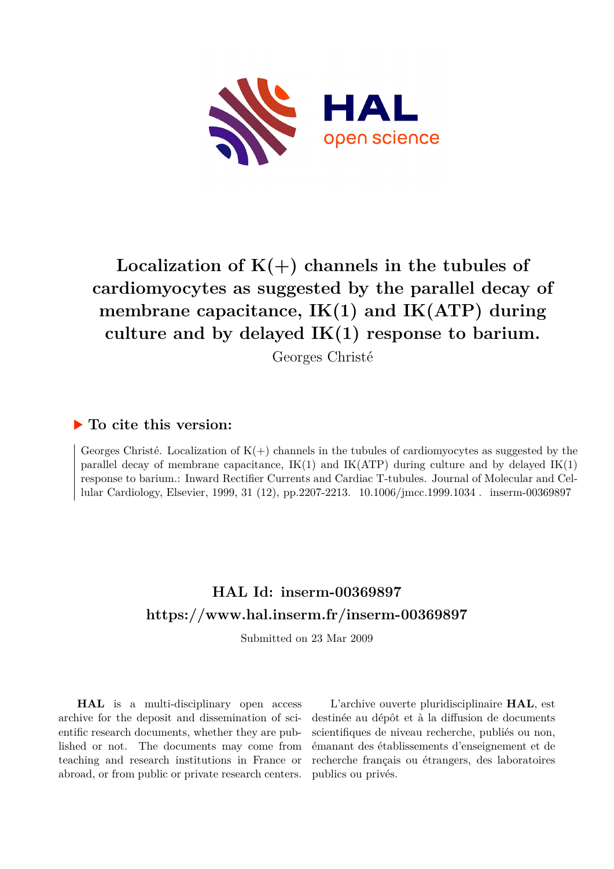

# Localization of  $K(+)$  channels in the tubules of **cardiomyocytes as suggested by the parallel decay of membrane capacitance, IK(1) and IK(ATP) during culture and by delayed IK(1) response to barium.**

Georges Christé

#### **To cite this version:**

Georges Christé. Localization of  $K(+)$  channels in the tubules of cardiomyocytes as suggested by the parallel decay of membrane capacitance,  $IK(1)$  and  $IK(ATP)$  during culture and by delayed  $IK(1)$ response to barium.: Inward Rectifier Currents and Cardiac T-tubules. Journal of Molecular and Cellular Cardiology, Elsevier, 1999, 31 (12), pp.2207-2213. 10.1006/jmcc.1999.1034. inserm-00369897

## **HAL Id: inserm-00369897 <https://www.hal.inserm.fr/inserm-00369897>**

Submitted on 23 Mar 2009

**HAL** is a multi-disciplinary open access archive for the deposit and dissemination of scientific research documents, whether they are published or not. The documents may come from teaching and research institutions in France or abroad, or from public or private research centers.

L'archive ouverte pluridisciplinaire **HAL**, est destinée au dépôt et à la diffusion de documents scientifiques de niveau recherche, publiés ou non, émanant des établissements d'enseignement et de recherche français ou étrangers, des laboratoires publics ou privés.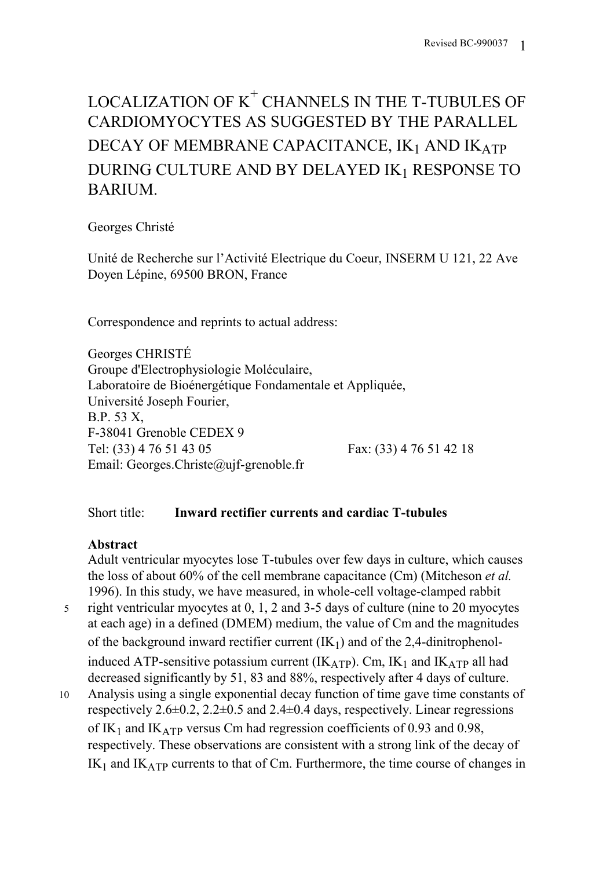# LOCALIZATION OF  $K^{\mathrm{+}}$  CHANNELS IN THE T-TUBULES OF CARDIOMYOCYTES AS SUGGESTED BY THE PARALLEL DECAY OF MEMBRANE CAPACITANCE, IK1 AND IKATP DURING CULTURE AND BY DELAYED IK1 RESPONSE TO BARIUM.

## Georges Christé

Unité de Recherche sur l'Activité Electrique du Coeur, INSERM U 121, 22 Ave Doyen Lépine, 69500 BRON, France

Correspondence and reprints to actual address:

Georges CHRISTÉ Groupe d'Electrophysiologie Moléculaire, Laboratoire de Bioénergétique Fondamentale et Appliquée, Université Joseph Fourier, B.P. 53 X, F-38041 Grenoble CEDEX 9 Tel: (33) 4 76 51 43 05 Fax: (33) 4 76 51 42 18 Email: Georges.Christe@ujf-grenoble.fr

## Short title: **Inward rectifier currents and cardiac T-tubules**

## **Abstract**

Adult ventricular myocytes lose T-tubules over few days in culture, which causes the loss of about 60% of the cell membrane capacitance (Cm) (Mitcheson *et al.* 1996). In this study, we have measured, in whole-cell voltage-clamped rabbit

- 5 right ventricular myocytes at 0, 1, 2 and 3-5 days of culture (nine to 20 myocytes at each age) in a defined (DMEM) medium, the value of Cm and the magnitudes of the background inward rectifier current  $(K_1)$  and of the 2,4-dinitrophenolinduced ATP-sensitive potassium current ( $IK_{ATP}$ ). Cm,  $IK_1$  and  $IK_{ATP}$  all had decreased significantly by 51, 83 and 88%, respectively after 4 days of culture.
- 10 Analysis using a single exponential decay function of time gave time constants of respectively  $2.6\pm 0.2$ ,  $2.2\pm 0.5$  and  $2.4\pm 0.4$  days, respectively. Linear regressions of IK<sub>1</sub> and IK<sub>ATP</sub> versus Cm had regression coefficients of 0.93 and 0.98, respectively. These observations are consistent with a strong link of the decay of  $IK_1$  and  $IK_{ATP}$  currents to that of Cm. Furthermore, the time course of changes in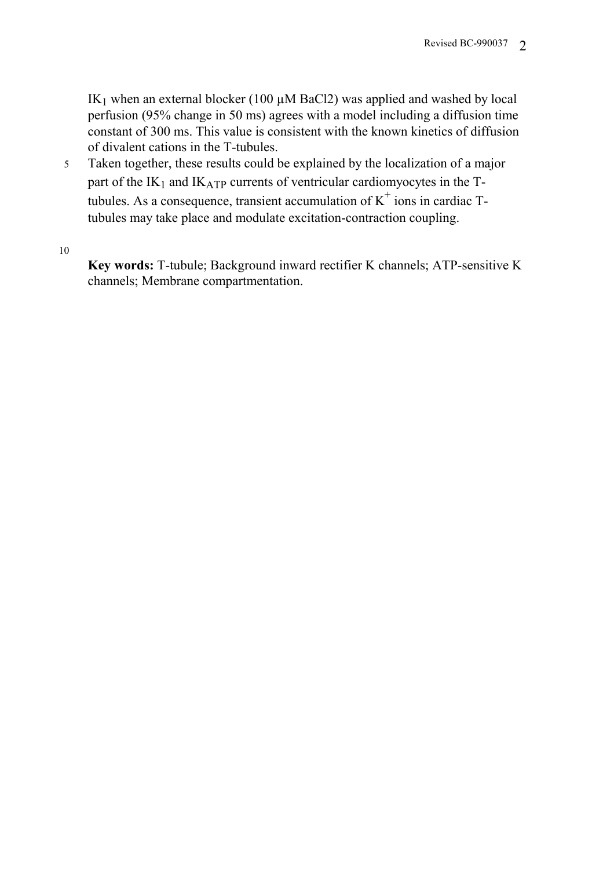IK<sub>1</sub> when an external blocker (100  $\mu$ M BaCl2) was applied and washed by local perfusion (95% change in 50 ms) agrees with a model including a diffusion time constant of 300 ms. This value is consistent with the known kinetics of diffusion of divalent cations in the T-tubules.

5 Taken together, these results could be explained by the localization of a major part of the  $IK_1$  and  $IK_{ATP}$  currents of ventricular cardiomyocytes in the Ttubules. As a consequence, transient accumulation of  $K^+$  ions in cardiac Ttubules may take place and modulate excitation-contraction coupling.

10

**Key words:** T-tubule; Background inward rectifier K channels; ATP-sensitive K channels; Membrane compartmentation.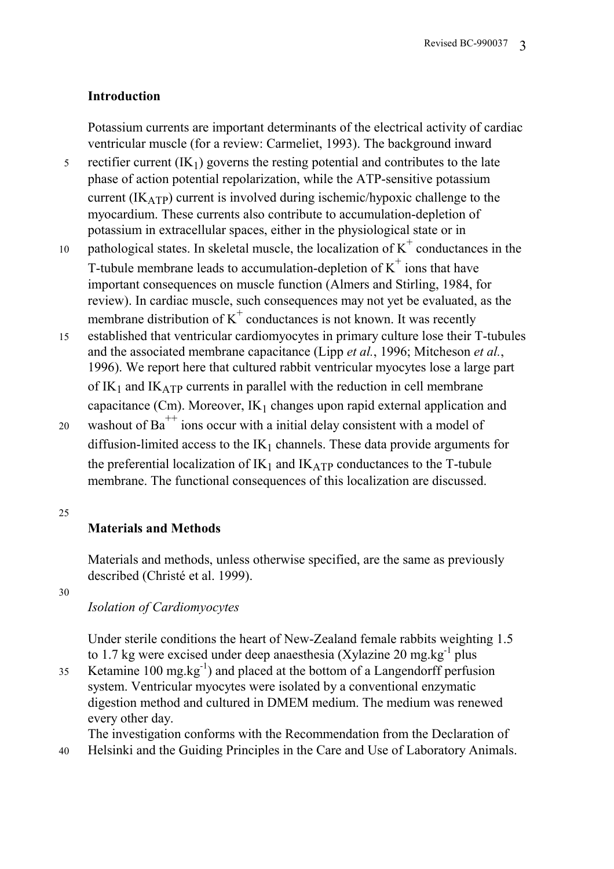#### **Introduction**

Potassium currents are important determinants of the electrical activity of cardiac ventricular muscle (for a review: Carmeliet, 1993). The background inward

- 5 rectifier current  $(K_1)$  governs the resting potential and contributes to the late phase of action potential repolarization, while the ATP-sensitive potassium current  $(IK_{ATP})$  current is involved during ischemic/hypoxic challenge to the myocardium. These currents also contribute to accumulation-depletion of potassium in extracellular spaces, either in the physiological state or in
- 10 pathological states. In skeletal muscle, the localization of  $K^+$  conductances in the T-tubule membrane leads to accumulation-depletion of  $K^+$  ions that have important consequences on muscle function (Almers and Stirling, 1984, for review). In cardiac muscle, such consequences may not yet be evaluated, as the membrane distribution of  $K^+$  conductances is not known. It was recently
- 15 established that ventricular cardiomyocytes in primary culture lose their T-tubules and the associated membrane capacitance (Lipp *et al.*, 1996; Mitcheson *et al.*, 1996). We report here that cultured rabbit ventricular myocytes lose a large part of  $IK_1$  and  $IK_{ATP}$  currents in parallel with the reduction in cell membrane capacitance (Cm). Moreover,  $IK_1$  changes upon rapid external application and
- 20 washout of Ba<sup>++</sup> ions occur with a initial delay consistent with a model of diffusion-limited access to the  $IK_1$  channels. These data provide arguments for the preferential localization of  $IK_1$  and  $IK_{ATP}$  conductances to the T-tubule membrane. The functional consequences of this localization are discussed.

#### 25

## **Materials and Methods**

Materials and methods, unless otherwise specified, are the same as previously described (Christé et al. 1999).

30

## *Isolation of Cardiomyocytes*

Under sterile conditions the heart of New-Zealand female rabbits weighting 1.5 to 1.7 kg were excised under deep anaesthesia (Xylazine 20 mg.kg $^{-1}$  plus

 $K$ etamine 100 mg.kg<sup>-1</sup>) and placed at the bottom of a Langendorff perfusion system. Ventricular myocytes were isolated by a conventional enzymatic digestion method and cultured in DMEM medium. The medium was renewed every other day.

The investigation conforms with the Recommendation from the Declaration of

40 Helsinki and the Guiding Principles in the Care and Use of Laboratory Animals.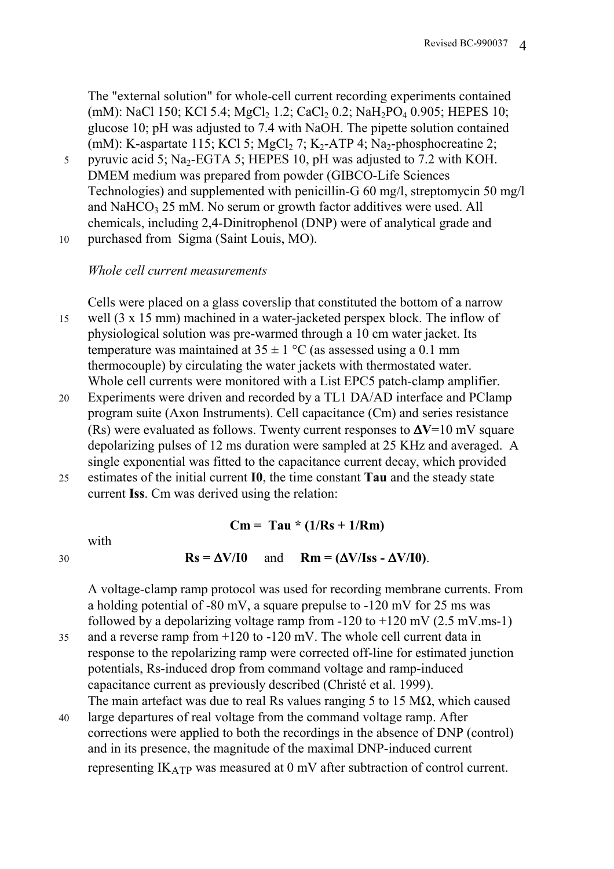The "external solution" for whole-cell current recording experiments contained (mM): NaCl 150; KCl 5.4; MgCl<sub>2</sub> 1.2; CaCl<sub>2</sub> 0.2; NaH<sub>2</sub>PO<sub>4</sub> 0.905; HEPES 10; glucose 10; pH was adjusted to 7.4 with NaOH. The pipette solution contained (mM): K-aspartate 115; KCl 5; MgCl<sub>2</sub> 7; K<sub>2</sub>-ATP 4; Na<sub>2</sub>-phosphocreatine 2;

- 5 pyruvic acid 5; Na<sub>2</sub>-EGTA 5; HEPES 10, pH was adjusted to 7.2 with KOH. DMEM medium was prepared from powder (GIBCO-Life Sciences Technologies) and supplemented with penicillin-G 60 mg/l, streptomycin 50 mg/l and NaHCO<sub>3</sub> 25 mM. No serum or growth factor additives were used. All chemicals, including 2,4-Dinitrophenol (DNP) were of analytical grade and
- 10 purchased from Sigma (Saint Louis, MO).

#### *Whole cell current measurements*

Cells were placed on a glass coverslip that constituted the bottom of a narrow

- 15 well (3 x 15 mm) machined in a water-jacketed perspex block. The inflow of physiological solution was pre-warmed through a 10 cm water jacket. Its temperature was maintained at  $35 \pm 1$  °C (as assessed using a 0.1 mm thermocouple) by circulating the water jackets with thermostated water. Whole cell currents were monitored with a List EPC5 patch-clamp amplifier.
- 20 Experiments were driven and recorded by a TL1 DA/AD interface and PClamp program suite (Axon Instruments). Cell capacitance (Cm) and series resistance (Rs) were evaluated as follows. Twenty current responses to ∆**V**=10 mV square depolarizing pulses of 12 ms duration were sampled at 25 KHz and averaged. A single exponential was fitted to the capacitance current decay, which provided
- 25 estimates of the initial current **I0**, the time constant **Tau** and the steady state current **Iss**. Cm was derived using the relation:

 $Cm = Tau * (1/Rs + 1/Rm)$ 

with

$$
Rs = \Delta V/I0 \quad \text{and} \quad Rm = (\Delta V/Iss - \Delta V/I0).
$$

A voltage-clamp ramp protocol was used for recording membrane currents. From a holding potential of -80 mV, a square prepulse to  $-120$  mV for 25 ms was followed by a depolarizing voltage ramp from  $-120$  to  $+120$  mV (2.5 mV.ms-1)

- 35 and a reverse ramp from +120 to -120 mV. The whole cell current data in response to the repolarizing ramp were corrected off-line for estimated junction potentials, Rs-induced drop from command voltage and ramp-induced capacitance current as previously described (Christé et al. 1999). The main artefact was due to real Rs values ranging 5 to 15 M $\Omega$ , which caused
- 40 large departures of real voltage from the command voltage ramp. After corrections were applied to both the recordings in the absence of DNP (control) and in its presence, the magnitude of the maximal DNP-induced current representing IKATP was measured at 0 mV after subtraction of control current.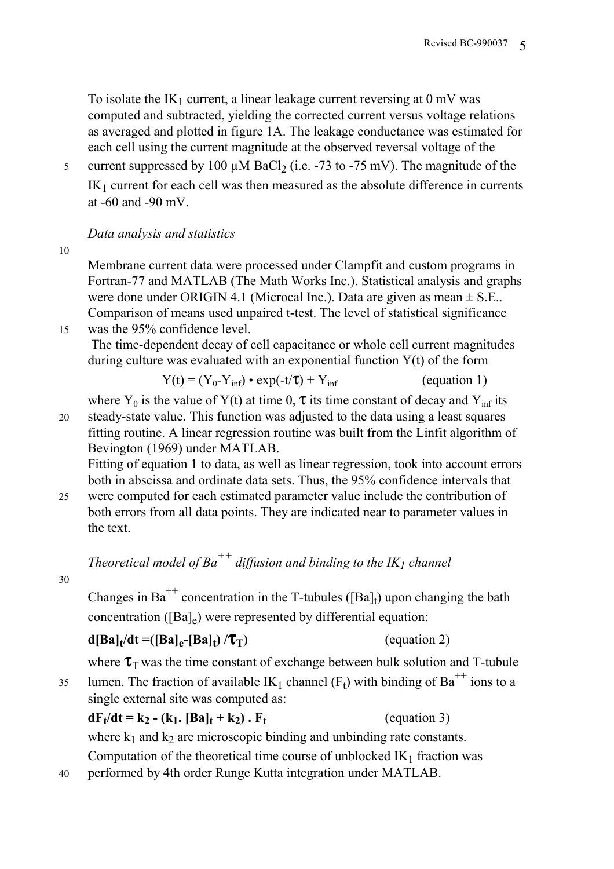To isolate the  $IK_1$  current, a linear leakage current reversing at 0 mV was computed and subtracted, yielding the corrected current versus voltage relations as averaged and plotted in figure 1A. The leakage conductance was estimated for each cell using the current magnitude at the observed reversal voltage of the

5 current suppressed by 100  $\mu$ M BaCl<sub>2</sub> (i.e. -73 to -75 mV). The magnitude of the  $IK<sub>1</sub>$  current for each cell was then measured as the absolute difference in currents at -60 and -90 mV.

## *Data analysis and statistics*

10

Membrane current data were processed under Clampfit and custom programs in Fortran-77 and MATLAB (The Math Works Inc.). Statistical analysis and graphs were done under ORIGIN 4.1 (Microcal Inc.). Data are given as mean  $\pm$  S.E.. Comparison of means used unpaired t-test. The level of statistical significance 15 was the 95% confidence level.

 The time-dependent decay of cell capacitance or whole cell current magnitudes during culture was evaluated with an exponential function  $Y(t)$  of the form

$$
Y(t) = (Y_0 - Y_{inf}) \cdot \exp(-t/\tau) + Y_{inf}
$$
 (equation 1)

where Y<sub>0</sub> is the value of Y(t) at time 0,  $\tau$  its time constant of decay and Y<sub>inf</sub> its 20 steady-state value. This function was adjusted to the data using a least squares

fitting routine. A linear regression routine was built from the Linfit algorithm of Bevington (1969) under MATLAB.

Fitting of equation 1 to data, as well as linear regression, took into account errors both in abscissa and ordinate data sets. Thus, the 95% confidence intervals that

25 were computed for each estimated parameter value include the contribution of both errors from all data points. They are indicated near to parameter values in the text.

*Theoretical model of Ba*<sup>++</sup> diffusion and binding to the  $IK<sub>1</sub>$  channel

30

Changes in Ba<sup>++</sup> concentration in the T-tubules ([Ba]<sub>t</sub>) upon changing the bath concentration ( $[Ba]_e$ ) were represented by differential equation:

## $d[Ba]_t/dt = ([Ba]_e - [Ba]_t) / \tau_T)$  (equation 2)

where  $\tau_{\text{T}}$  was the time constant of exchange between bulk solution and T-tubule 35 lumen. The fraction of available IK<sub>1</sub> channel (F<sub>t</sub>) with binding of Ba<sup>++</sup> ions to a

single external site was computed as:

## $dF_t/dt = k_2 - (k_1, [Ba]_t + k_2)$ .  $F_t$  (equation 3)

where  $k_1$  and  $k_2$  are microscopic binding and unbinding rate constants.

Computation of the theoretical time course of unblocked  $IK<sub>1</sub>$  fraction was

40 performed by 4th order Runge Kutta integration under MATLAB.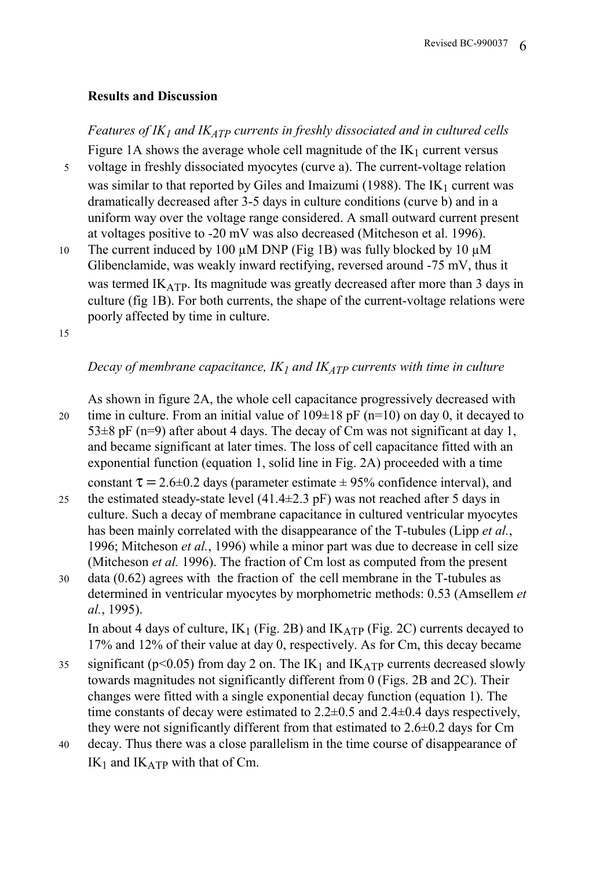#### **Results and Discussion**

*Features of IK<sub>1</sub> and IK<sub>ATP</sub> currents in freshly dissociated and in cultured cells* Figure 1A shows the average whole cell magnitude of the  $IK_1$  current versus

- 5 voltage in freshly dissociated myocytes (curve a). The current-voltage relation was similar to that reported by Giles and Imaizumi (1988). The  $IK_1$  current was dramatically decreased after 3-5 days in culture conditions (curve b) and in a uniform way over the voltage range considered. A small outward current present at voltages positive to -20 mV was also decreased (Mitcheson et al. 1996).
- 10 The current induced by 100  $\mu$ M DNP (Fig 1B) was fully blocked by 10  $\mu$ M Glibenclamide, was weakly inward rectifying, reversed around -75 mV, thus it was termed  $IK_{ATP}$ . Its magnitude was greatly decreased after more than 3 days in culture (fig 1B). For both currents, the shape of the current-voltage relations were poorly affected by time in culture.

15

## *Decay of membrane capacitance,*  $IK_I$  *and*  $IK_{ATP}$  *currents with time in culture*

As shown in figure 2A, the whole cell capacitance progressively decreased with 20 time in culture. From an initial value of  $109\pm18$  pF (n=10) on day 0, it decayed to  $53\pm8$  pF (n=9) after about 4 days. The decay of Cm was not significant at day 1, and became significant at later times. The loss of cell capacitance fitted with an exponential function (equation 1, solid line in Fig. 2A) proceeded with a time constant  $\tau = 2.6 \pm 0.2$  days (parameter estimate  $\pm 95\%$  confidence interval), and

- 25 the estimated steady-state level  $(41.4\pm 2.3 \text{ pF})$  was not reached after 5 days in culture. Such a decay of membrane capacitance in cultured ventricular myocytes has been mainly correlated with the disappearance of the T-tubules (Lipp *et al.*, 1996; Mitcheson *et al.*, 1996) while a minor part was due to decrease in cell size (Mitcheson *et al.* 1996). The fraction of Cm lost as computed from the present
- 30 data (0.62) agrees with the fraction of the cell membrane in the T-tubules as determined in ventricular myocytes by morphometric methods: 0.53 (Amsellem *et al.*, 1995).

In about 4 days of culture,  $IK_1$  (Fig. 2B) and  $IK_{ATP}$  (Fig. 2C) currents decayed to 17% and 12% of their value at day 0, respectively. As for Cm, this decay became

- 35 significant ( $p$ <0.05) from day 2 on. The IK<sub>1</sub> and IK<sub>ATP</sub> currents decreased slowly towards magnitudes not significantly different from 0 (Figs. 2B and 2C). Their changes were fitted with a single exponential decay function (equation 1). The time constants of decay were estimated to 2.2±0.5 and 2.4±0.4 days respectively, they were not significantly different from that estimated to 2.6±0.2 days for Cm
- 40 decay. Thus there was a close parallelism in the time course of disappearance of  $IK_1$  and  $IK_{ATP}$  with that of Cm.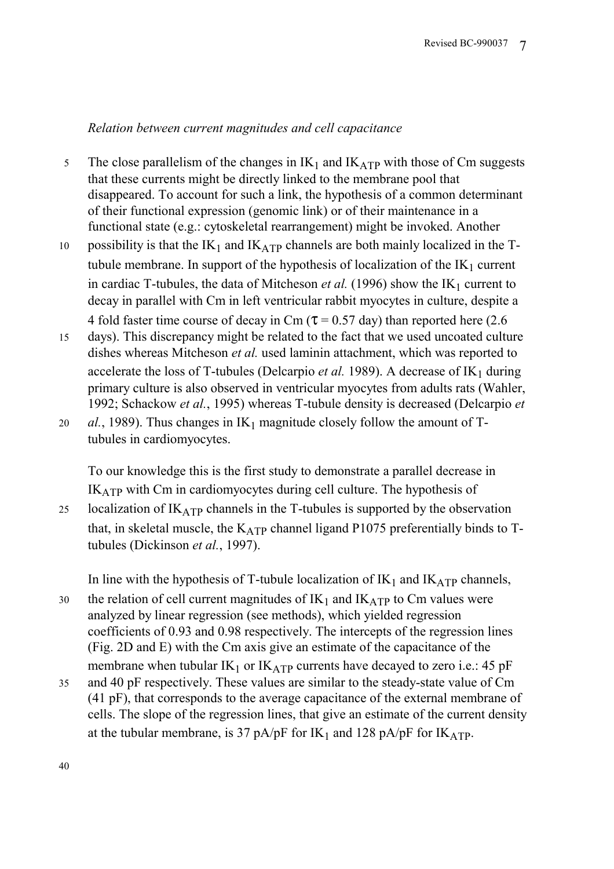## *Relation between current magnitudes and cell capacitance*

- 5 The close parallelism of the changes in  $IK_1$  and  $IK_{ATP}$  with those of Cm suggests that these currents might be directly linked to the membrane pool that disappeared. To account for such a link, the hypothesis of a common determinant of their functional expression (genomic link) or of their maintenance in a functional state (e.g.: cytoskeletal rearrangement) might be invoked. Another
- 10 possibility is that the  $IK_1$  and  $IK_{ATP}$  channels are both mainly localized in the Ttubule membrane. In support of the hypothesis of localization of the  $IK_1$  current in cardiac T-tubules, the data of Mitcheson *et al.* (1996) show the  $IK_1$  current to decay in parallel with Cm in left ventricular rabbit myocytes in culture, despite a 4 fold faster time course of decay in Cm ( $\tau$  = 0.57 day) than reported here (2.6)
- 15 days). This discrepancy might be related to the fact that we used uncoated culture dishes whereas Mitcheson *et al.* used laminin attachment, which was reported to accelerate the loss of T-tubules (Delcarpio *et al.* 1989). A decrease of  $IK_1$  during primary culture is also observed in ventricular myocytes from adults rats (Wahler, 1992; Schackow *et al.*, 1995) whereas T-tubule density is decreased (Delcarpio *et*
- 20 *al.*, 1989). Thus changes in  $IK_1$  magnitude closely follow the amount of Ttubules in cardiomyocytes.

To our knowledge this is the first study to demonstrate a parallel decrease in IKATP with Cm in cardiomyocytes during cell culture. The hypothesis of

25 localization of  $IK_{ATP}$  channels in the T-tubules is supported by the observation that, in skeletal muscle, the  $K_{ATP}$  channel ligand P1075 preferentially binds to Ttubules (Dickinson *et al.*, 1997).

In line with the hypothesis of T-tubule localization of  $IK_1$  and  $IK_{ATP}$  channels,

- 30 the relation of cell current magnitudes of  $IK_1$  and  $IK_{ATP}$  to Cm values were analyzed by linear regression (see methods), which yielded regression coefficients of 0.93 and 0.98 respectively. The intercepts of the regression lines (Fig. 2D and E) with the Cm axis give an estimate of the capacitance of the membrane when tubular  $IK_1$  or  $IK_{ATP}$  currents have decayed to zero i.e.: 45 pF
- 35 and 40 pF respectively. These values are similar to the steady-state value of Cm (41 pF), that corresponds to the average capacitance of the external membrane of cells. The slope of the regression lines, that give an estimate of the current density at the tubular membrane, is 37 pA/pF for IK<sub>1</sub> and 128 pA/pF for IK<sub>ATP</sub>.

40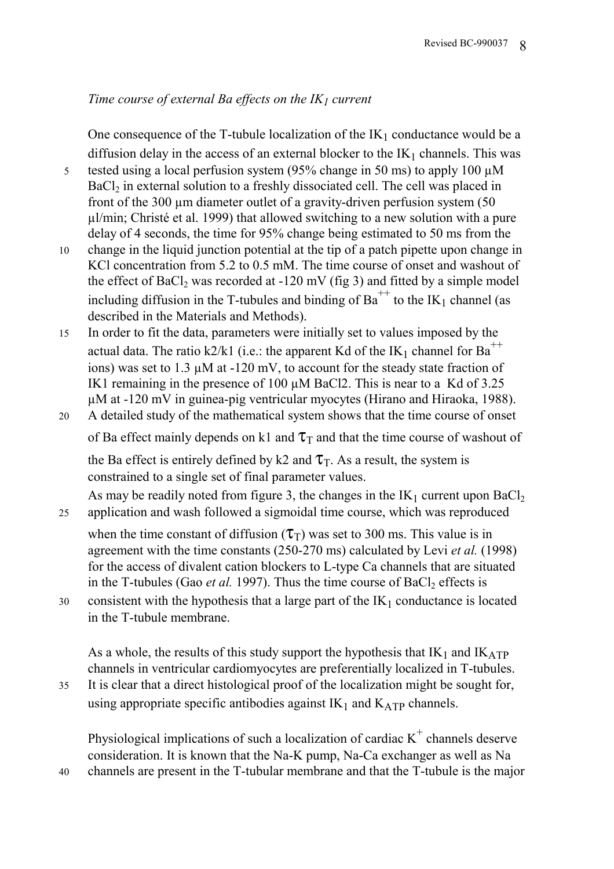## *Time course of external Ba effects on the IK<sub>1</sub> current*

One consequence of the T-tubule localization of the  $IK_1$  conductance would be a diffusion delay in the access of an external blocker to the  $IK_1$  channels. This was

5 tested using a local perfusion system (95% change in 50 ms) to apply 100  $\mu$ M BaCl<sub>2</sub> in external solution to a freshly dissociated cell. The cell was placed in front of the 300 µm diameter outlet of a gravity-driven perfusion system (50 µl/min; Christé et al. 1999) that allowed switching to a new solution with a pure delay of 4 seconds, the time for 95% change being estimated to 50 ms from the

- 10 change in the liquid junction potential at the tip of a patch pipette upon change in KCl concentration from 5.2 to 0.5 mM. The time course of onset and washout of the effect of  $BaCl<sub>2</sub>$  was recorded at -120 mV (fig 3) and fitted by a simple model including diffusion in the T-tubules and binding of  $Ba^{++}$  to the IK<sub>1</sub> channel (as described in the Materials and Methods).
- 15 In order to fit the data, parameters were initially set to values imposed by the actual data. The ratio k2/k1 (i.e.: the apparent Kd of the IK<sub>1</sub> channel for Ba<sup>++</sup> ions) was set to 1.3 µM at -120 mV, to account for the steady state fraction of IK1 remaining in the presence of 100  $\mu$ M BaCl2. This is near to a Kd of 3.25 µM at -120 mV in guinea-pig ventricular myocytes (Hirano and Hiraoka, 1988).
- 20 A detailed study of the mathematical system shows that the time course of onset of Ba effect mainly depends on k1 and  $\tau_T$  and that the time course of washout of

the Ba effect is entirely defined by k2 and  $\tau$ <sub>T</sub>. As a result, the system is constrained to a single set of final parameter values.

As may be readily noted from figure 3, the changes in the  $IK_1$  current upon  $BaCl_2$ 25 application and wash followed a sigmoidal time course, which was reproduced

when the time constant of diffusion  $(\tau)$  was set to 300 ms. This value is in agreement with the time constants (250-270 ms) calculated by Levi *et al.* (1998) for the access of divalent cation blockers to L-type Ca channels that are situated in the T-tubules (Gao *et al.* 1997). Thus the time course of  $BaCl<sub>2</sub>$  effects is

30 consistent with the hypothesis that a large part of the  $IK_1$  conductance is located in the T-tubule membrane.

As a whole, the results of this study support the hypothesis that  $IK_1$  and  $IK_{ATP}$ channels in ventricular cardiomyocytes are preferentially localized in T-tubules. 35 It is clear that a direct histological proof of the localization might be sought for,

using appropriate specific antibodies against  $IK_1$  and  $K_{ATP}$  channels.

Physiological implications of such a localization of cardiac  $K^+$  channels deserve consideration. It is known that the Na-K pump, Na-Ca exchanger as well as Na 40 channels are present in the T-tubular membrane and that the T-tubule is the major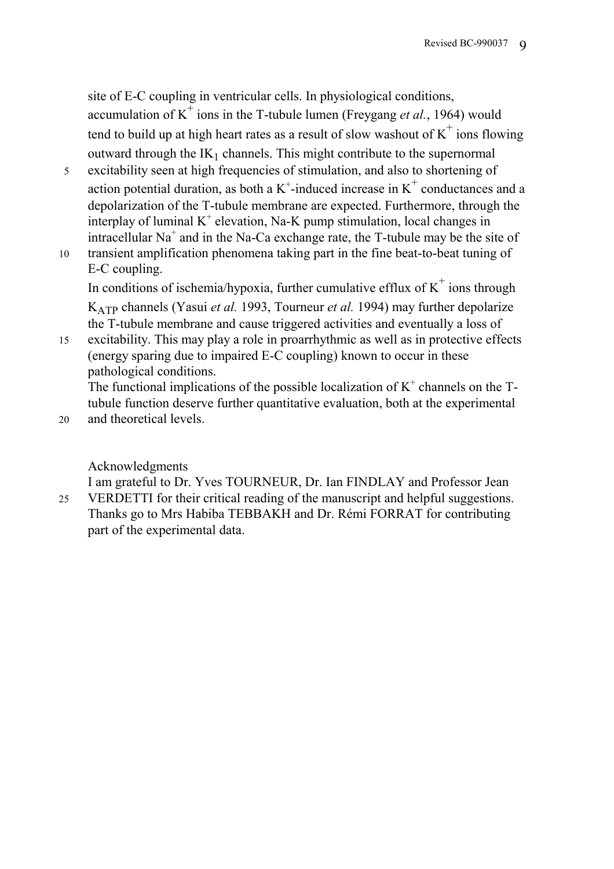site of E-C coupling in ventricular cells. In physiological conditions, accumulation of  $K^{\dagger}$  ions in the T-tubule lumen (Freygang *et al.*, 1964) would tend to build up at high heart rates as a result of slow washout of  $K^+$  ions flowing outward through the  $IK_1$  channels. This might contribute to the supernormal

- 5 excitability seen at high frequencies of stimulation, and also to shortening of action potential duration, as both a  $K^+$ -induced increase in  $K^+$  conductances and a depolarization of the T-tubule membrane are expected. Furthermore, through the interplay of luminal  $K^+$  elevation, Na-K pump stimulation, local changes in intracellular Na<sup>+</sup> and in the Na-Ca exchange rate, the T-tubule may be the site of
- 10 transient amplification phenomena taking part in the fine beat-to-beat tuning of E-C coupling.

In conditions of ischemia/hypoxia, further cumulative efflux of  $K^+$  ions through KATP channels (Yasui *et al.* 1993, Tourneur *et al.* 1994) may further depolarize the T-tubule membrane and cause triggered activities and eventually a loss of

15 excitability. This may play a role in proarrhythmic as well as in protective effects (energy sparing due to impaired E-C coupling) known to occur in these pathological conditions.

The functional implications of the possible localization of  $K^+$  channels on the Ttubule function deserve further quantitative evaluation, both at the experimental

20 and theoretical levels.

Acknowledgments

I am grateful to Dr. Yves TOURNEUR, Dr. Ian FINDLAY and Professor Jean 25 VERDETTI for their critical reading of the manuscript and helpful suggestions. Thanks go to Mrs Habiba TEBBAKH and Dr. Rémi FORRAT for contributing part of the experimental data.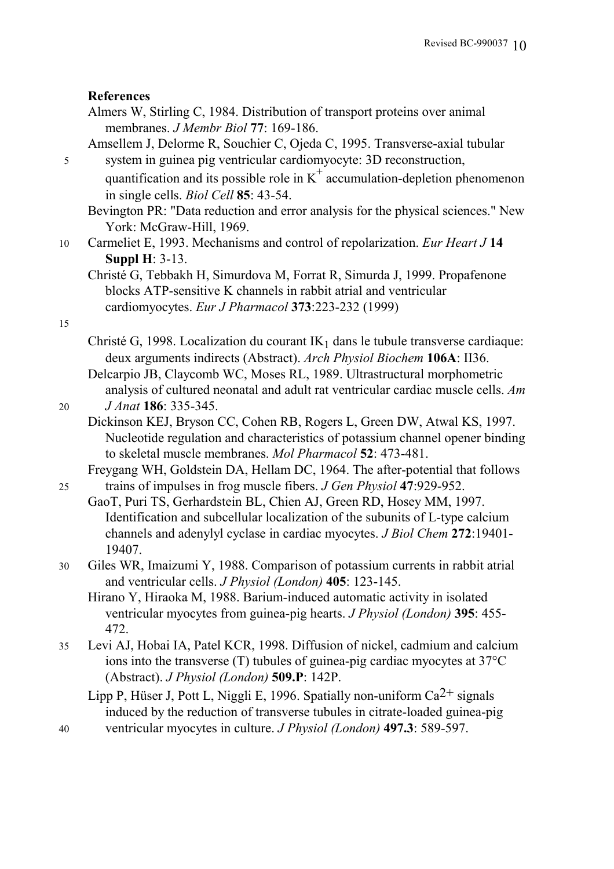#### **References**

| Almers W, Stirling C, 1984. Distribution of transport proteins over animal |  |
|----------------------------------------------------------------------------|--|
| membranes. <i>J Membr Biol</i> 77: 169-186.                                |  |

Amsellem J, Delorme R, Souchier C, Ojeda C, 1995. Transverse-axial tubular 5 system in guinea pig ventricular cardiomyocyte: 3D reconstruction,

quantification and its possible role in  $K^+$  accumulation-depletion phenomenon in single cells. *Biol Cell* **85**: 43-54.

Bevington PR: "Data reduction and error analysis for the physical sciences." New York: McGraw-Hill, 1969.

10 Carmeliet E, 1993. Mechanisms and control of repolarization. *Eur Heart J* **14 Suppl H**: 3-13.

15

Christé G, 1998. Localization du courant  $IK_1$  dans le tubule transverse cardiaque: deux arguments indirects (Abstract). *Arch Physiol Biochem* **106A**: II36. Delcarpio JB, Claycomb WC, Moses RL, 1989. Ultrastructural morphometric analysis of cultured neonatal and adult rat ventricular cardiac muscle cells. *Am* 

20 *J Anat* **186**: 335-345.

Dickinson KEJ, Bryson CC, Cohen RB, Rogers L, Green DW, Atwal KS, 1997. Nucleotide regulation and characteristics of potassium channel opener binding to skeletal muscle membranes. *Mol Pharmacol* **52**: 473-481.

Freygang WH, Goldstein DA, Hellam DC, 1964. The after-potential that follows 25 trains of impulses in frog muscle fibers. *J Gen Physiol* **47**:929-952.

- GaoT, Puri TS, Gerhardstein BL, Chien AJ, Green RD, Hosey MM, 1997. Identification and subcellular localization of the subunits of L-type calcium channels and adenylyl cyclase in cardiac myocytes. *J Biol Chem* **272**:19401- 19407.
- 30 Giles WR, Imaizumi Y, 1988. Comparison of potassium currents in rabbit atrial and ventricular cells. *J Physiol (London)* **405**: 123-145.

Hirano Y, Hiraoka M, 1988. Barium-induced automatic activity in isolated ventricular myocytes from guinea-pig hearts. *J Physiol (London)* **395**: 455- 472.

35 Levi AJ, Hobai IA, Patel KCR, 1998. Diffusion of nickel, cadmium and calcium ions into the transverse (T) tubules of guinea-pig cardiac myocytes at 37°C (Abstract). *J Physiol (London)* **509.P**: 142P.

Lipp P, Hüser J, Pott L, Niggli E, 1996. Spatially non-uniform  $Ca^{2+}$  signals induced by the reduction of transverse tubules in citrate-loaded guinea-pig 40 ventricular myocytes in culture. *J Physiol (London)* **497.3**: 589-597.

Christé G, Tebbakh H, Simurdova M, Forrat R, Simurda J, 1999. Propafenone blocks ATP-sensitive K channels in rabbit atrial and ventricular cardiomyocytes. *Eur J Pharmacol* **373**:223-232 (1999)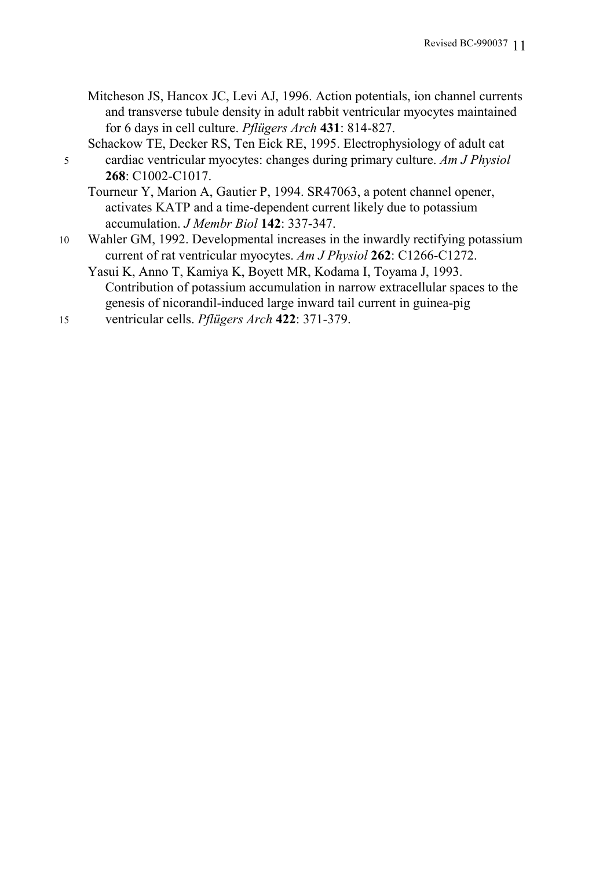- Mitcheson JS, Hancox JC, Levi AJ, 1996. Action potentials, ion channel currents and transverse tubule density in adult rabbit ventricular myocytes maintained for 6 days in cell culture. *Pflügers Arch* **431**: 814-827.
- Schackow TE, Decker RS, Ten Eick RE, 1995. Electrophysiology of adult cat 5 cardiac ventricular myocytes: changes during primary culture. *Am J Physiol* **268**: C1002-C1017.

Tourneur Y, Marion A, Gautier P, 1994. SR47063, a potent channel opener, activates KATP and a time-dependent current likely due to potassium accumulation. *J Membr Biol* **142**: 337-347.

10 Wahler GM, 1992. Developmental increases in the inwardly rectifying potassium current of rat ventricular myocytes. *Am J Physiol* **262**: C1266-C1272.

Yasui K, Anno T, Kamiya K, Boyett MR, Kodama I, Toyama J, 1993. Contribution of potassium accumulation in narrow extracellular spaces to the genesis of nicorandil-induced large inward tail current in guinea-pig

15 ventricular cells. *Pflügers Arch* **422**: 371-379.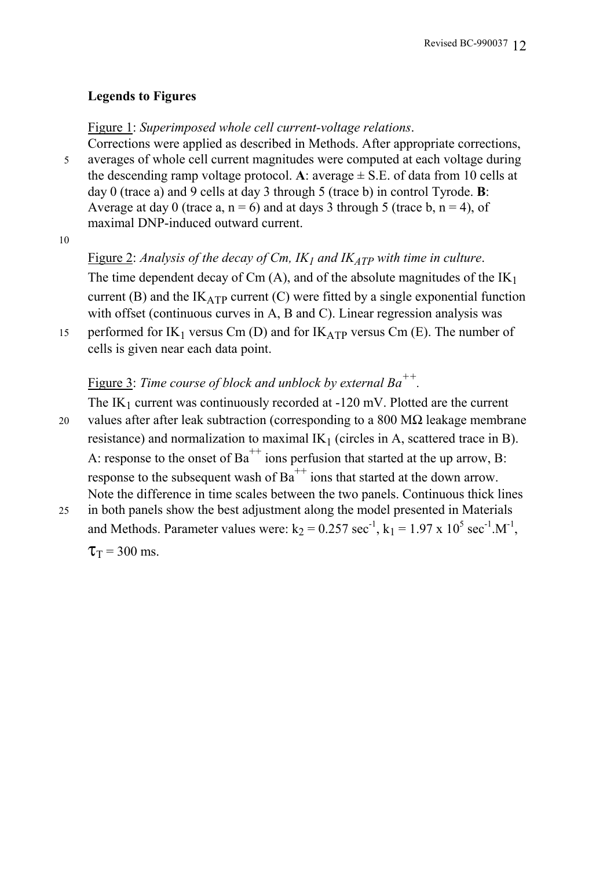## **Legends to Figures**

Figure 1: *Superimposed whole cell current-voltage relations*.

Corrections were applied as described in Methods. After appropriate corrections, 5 averages of whole cell current magnitudes were computed at each voltage during the descending ramp voltage protocol. A: average  $\pm$  S.E. of data from 10 cells at day 0 (trace a) and 9 cells at day 3 through 5 (trace b) in control Tyrode. **B**: Average at day 0 (trace a,  $n = 6$ ) and at days 3 through 5 (trace b,  $n = 4$ ), of maximal DNP-induced outward current.

10

Figure 2: *Analysis of the decay of Cm, IK<sub>1</sub> and IK<sub>ATP</sub> with time in culture.* The time dependent decay of Cm  $(A)$ , and of the absolute magnitudes of the  $IK_1$ current (B) and the  $IK_{ATP}$  current (C) were fitted by a single exponential function with offset (continuous curves in A, B and C). Linear regression analysis was

15 performed for IK<sub>1</sub> versus Cm (D) and for IK<sub>ATP</sub> versus Cm (E). The number of cells is given near each data point.

## Figure 3: *Time course of block and unblock by external Ba++.*

- The  $IK_1$  current was continuously recorded at  $-120$  mV. Plotted are the current 20 values after after leak subtraction (corresponding to a 800 M $\Omega$  leakage membrane resistance) and normalization to maximal  $IK_1$  (circles in A, scattered trace in B). A: response to the onset of  $Ba^{++}$  ions perfusion that started at the up arrow, B: response to the subsequent wash of  $Ba^{++}$  ions that started at the down arrow. Note the difference in time scales between the two panels. Continuous thick lines
- 25 in both panels show the best adjustment along the model presented in Materials and Methods. Parameter values were:  $k_2 = 0.257$  sec<sup>-1</sup>,  $k_1 = 1.97$  x  $10^5$  sec<sup>-1</sup>.M<sup>-1</sup>,  $\tau_{\rm T}$  = 300 ms.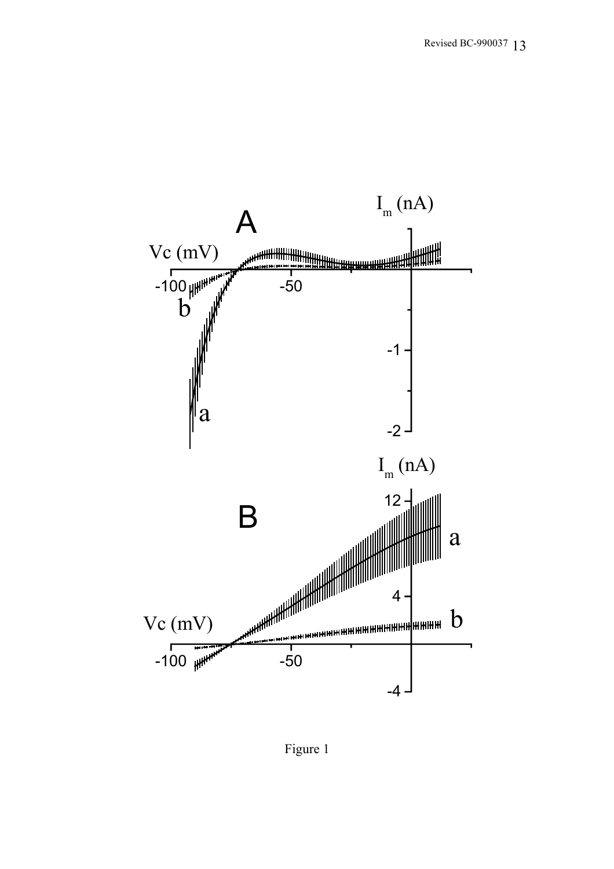

Figure 1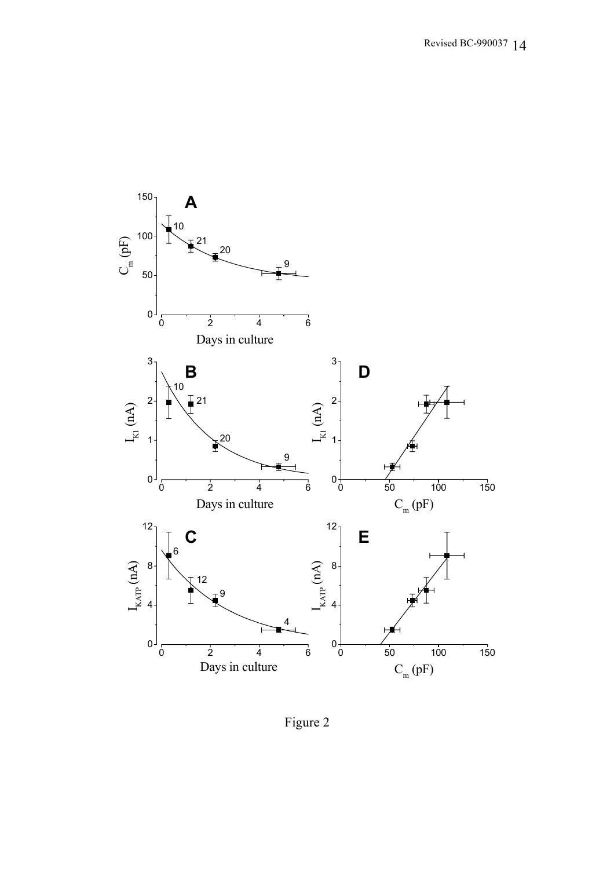

Figure 2